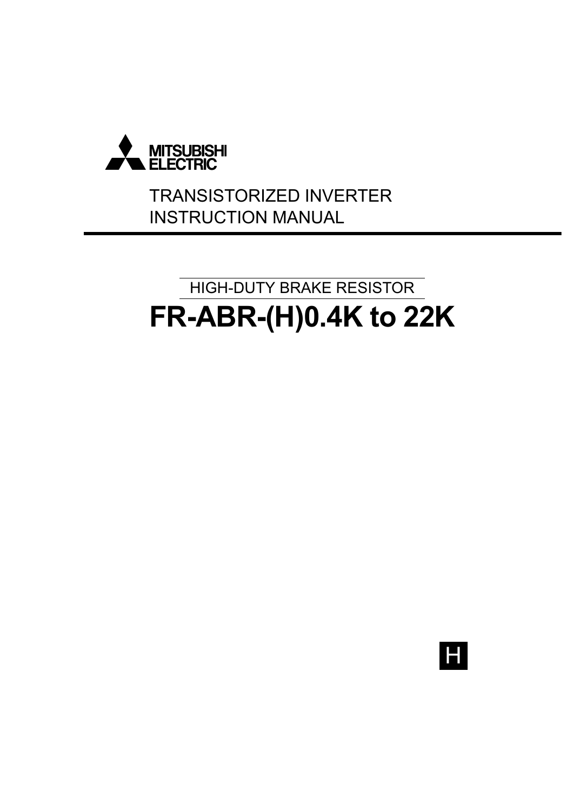

# TRANSISTORIZED INVERTER INSTRUCTION MANUAL

# **FR-ABR-(H)0.4K to 22K** HIGH-DUTY BRAKE RESISTOR

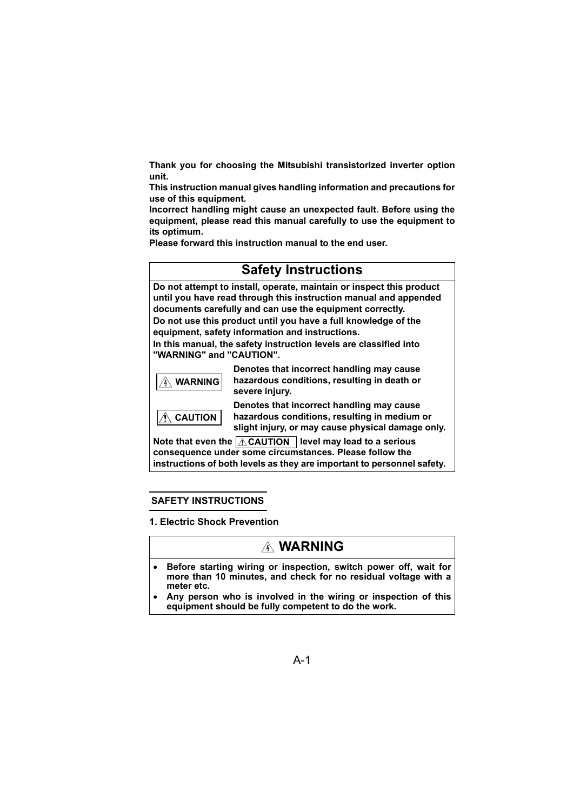**Thank you for choosing the Mitsubishi transistorized inverter option unit.**

**This instruction manual gives handling information and precautions for use of this equipment.** 

**Incorrect handling might cause an unexpected fault. Before using the equipment, please read this manual carefully to use the equipment to its optimum.**

**Please forward this instruction manual to the end user.**

# **Safety Instructions**

**Do not attempt to install, operate, maintain or inspect this product until you have read through this instruction manual and appended documents carefully and can use the equipment correctly.** 

**Do not use this product until you have a full knowledge of the equipment, safety information and instructions.**

**In this manual, the safety instruction levels are classified into "WARNING" and "CAUTION".**



 **CAUTION**

**Denotes that incorrect handling may cause hazardous conditions, resulting in death or severe injury.**

**Denotes that incorrect handling may cause hazardous conditions, resulting in medium or slight injury, or may cause physical damage only.**

Note that even the  $\Delta$  CAUTION  $\parallel$  level may lead to a serious **consequence under some circumstances. Please follow the instructions of both levels as they are important to personnel safety.**

#### **SAFETY INSTRUCTIONS**

**1. Electric Shock Prevention**

# **WARNING**

- **Before starting wiring or inspection, switch power off, wait for more than 10 minutes, and check for no residual voltage with a meter etc.**
- **Any person who is involved in the wiring or inspection of this equipment should be fully competent to do the work.**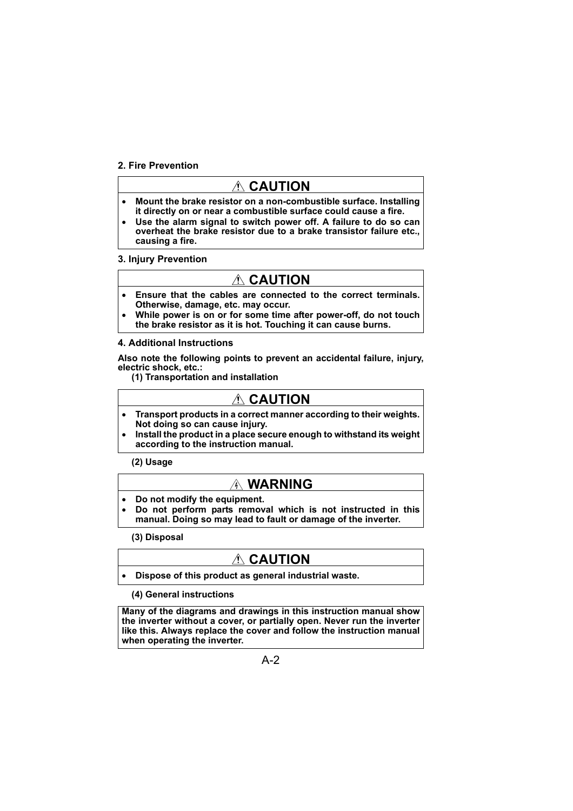#### **2. Fire Prevention**

# **CAUTION**

- **Mount the brake resistor on a non-combustible surface. Installing it directly on or near a combustible surface could cause a fire.**
- **Use the alarm signal to switch power off. A failure to do so can overheat the brake resistor due to a brake transistor failure etc., causing a fire.**

#### **3. Injury Prevention**

# **CAUTION**

- **Ensure that the cables are connected to the correct terminals. Otherwise, damage, etc. may occur.**
- **While power is on or for some time after power-off, do not touch the brake resistor as it is hot. Touching it can cause burns.**

#### **4. Additional Instructions**

**Also note the following points to prevent an accidental failure, injury, electric shock, etc.:**

**(1) Transportation and installation**

# **CAUTION**

- **Transport products in a correct manner according to their weights. Not doing so can cause injury.**
- **Install the product in a place secure enough to withstand its weight according to the instruction manual.**

**(2) Usage**

# **WARNING**

- **Do not modify the equipment.**
- **Do not perform parts removal which is not instructed in this manual. Doing so may lead to fault or damage of the inverter.**

**(3) Disposal**

# **CAUTION**

#### • **Dispose of this product as general industrial waste.**

#### **(4) General instructions**

**Many of the diagrams and drawings in this instruction manual show the inverter without a cover, or partially open. Never run the inverter like this. Always replace the cover and follow the instruction manual when operating the inverter.**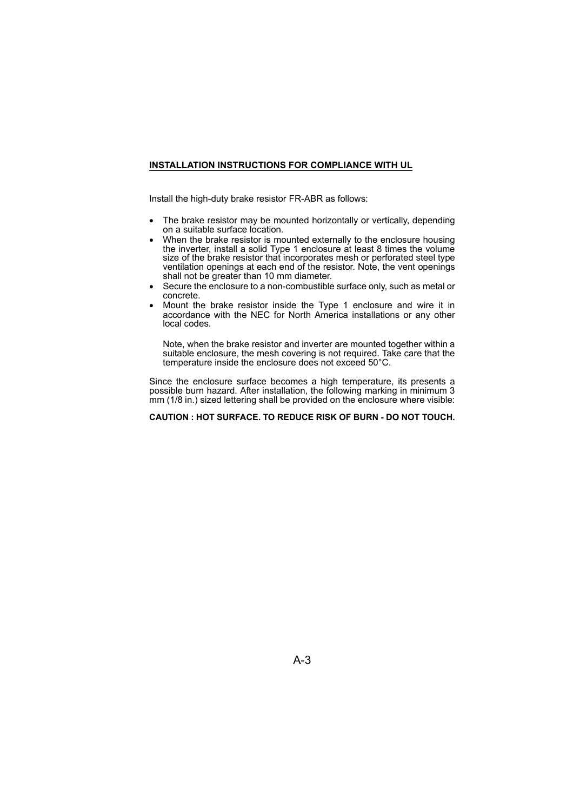#### <span id="page-3-0"></span>**INSTALLATION INSTRUCTIONS FOR COMPLIANCE WITH UL**

Install the high-duty brake resistor FR-ABR as follows:

- The brake resistor may be mounted horizontally or vertically, depending on a suitable surface location.
- When the brake resistor is mounted externally to the enclosure housing the inverter, install a solid Type 1 enclosure at least 8 times the volume size of the brake resistor that incorporates mesh or perforated steel type ventilation openings at each end of the resistor. Note, the vent openings shall not be greater than 10 mm diameter.
- Secure the enclosure to a non-combustible surface only, such as metal or concrete.
- Mount the brake resistor inside the Type 1 enclosure and wire it in accordance with the NEC for North America installations or any other local codes.

Note, when the brake resistor and inverter are mounted together within a suitable enclosure, the mesh covering is not required. Take care that the temperature inside the enclosure does not exceed 50°C.

Since the enclosure surface becomes a high temperature, its presents a possible burn hazard. After installation, the following marking in minimum 3 mm (1/8 in.) sized lettering shall be provided on the enclosure where visible:

#### **CAUTION : HOT SURFACE. TO REDUCE RISK OF BURN - DO NOT TOUCH.**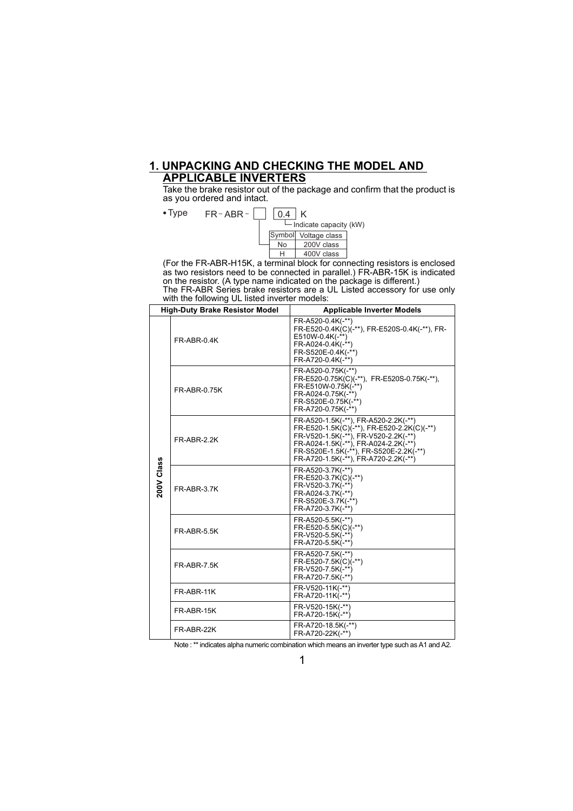#### **1. UNPACKING AND CHECKING THE MODEL AND APPLICABLE INVERTERS**

Take the brake resistor out of the package and confirm that the product is as you ordered and intact.

Type  $FR$ -ABR- $\begin{array}{|c|c|c|c|c|}\hline 0.4 & K \end{array}$  $\Box$  Indicate capacity (kW)  $0.4$  K Symbol Voltage class

H 400V class  $N<sub>0</sub>$  200V class

(For the FR-ABR-H15K, a terminal block for connecting resistors is enclosed as two resistors need to be connected in parallel.) FR-ABR-15K is indicated on the resistor. (A type name indicated on the package is different.)

The FR-ABR Series brake resistors are a UL Listed accessory for use only with the following UL listed inverter models:

|            | <b>High-Duty Brake Resistor Model</b> | <b>Applicable Inverter Models</b>                                                                                                                                                                                                                    |
|------------|---------------------------------------|------------------------------------------------------------------------------------------------------------------------------------------------------------------------------------------------------------------------------------------------------|
|            | FR-ABR-0.4K                           | FR-A520-0.4K(-**)<br>FR-E520-0.4K(C)(-**), FR-E520S-0.4K(-**), FR-<br>$E510W-0.4K(-**)$<br>FR-A024-0.4K(-**)<br>FR-S520E-0.4K(-**)<br>FR-A720-0.4K(-**)                                                                                              |
|            | FR-ABR-0.75K                          | FR-A520-0.75K(-**)<br>FR-E520-0.75K(C)(-**), FR-E520S-0.75K(-**),<br>FR-E510W-0.75K(-**)<br>FR-A024-0.75K(-**)<br>FR-S520E-0.75K(-**)<br>FR-A720-0.75K(-**)                                                                                          |
|            | FR-ABR-2.2K                           | FR-A520-1.5K(-**), FR-A520-2.2K(-**)<br>FR-E520-1.5K(C)(-**), FR-E520-2.2K(C)(-**)<br>FR-V520-1.5K(-**), FR-V520-2.2K(-**)<br>FR-A024-1.5K(-**), FR-A024-2.2K(-**)<br>FR-S520E-1.5K(-**), FR-S520E-2.2K(-**)<br>FR-A720-1.5K(-**), FR-A720-2.2K(-**) |
| 200V Class | FR-ABR-3.7K                           | FR-A520-3.7K(-**)<br>FR-E520-3.7K(C)(-**)<br>FR-V520-3.7K(-**)<br>FR-A024-3.7K(-**)<br>FR-S520E-3.7K(-**)<br>FR-A720-3.7K(-**)                                                                                                                       |
|            | FR-ABR-5.5K                           | FR-A520-5.5K(-**)<br>FR-E520-5.5K(C)(-**)<br>FR-V520-5.5K(-**)<br>FR-A720-5.5K(-**)                                                                                                                                                                  |
|            | FR-ABR-7.5K                           | FR-A520-7.5K(-**)<br>FR-E520-7.5K(C)(-**)<br>FR-V520-7.5K(-**)<br>FR-A720-7.5K(-**)                                                                                                                                                                  |
|            | FR-ABR-11K                            | FR-V520-11K(-**)<br>FR-A720-11K(-**)                                                                                                                                                                                                                 |
|            | FR-ABR-15K                            | FR-V520-15K(-**)<br>FR-A720-15K(-**)                                                                                                                                                                                                                 |
|            | FR-ABR-22K                            | FR-A720-18.5K(-**)<br>FR-A720-22K(-**)                                                                                                                                                                                                               |

Note : \*\* indicates alpha numeric combination which means an inverter type such as A1 and A2.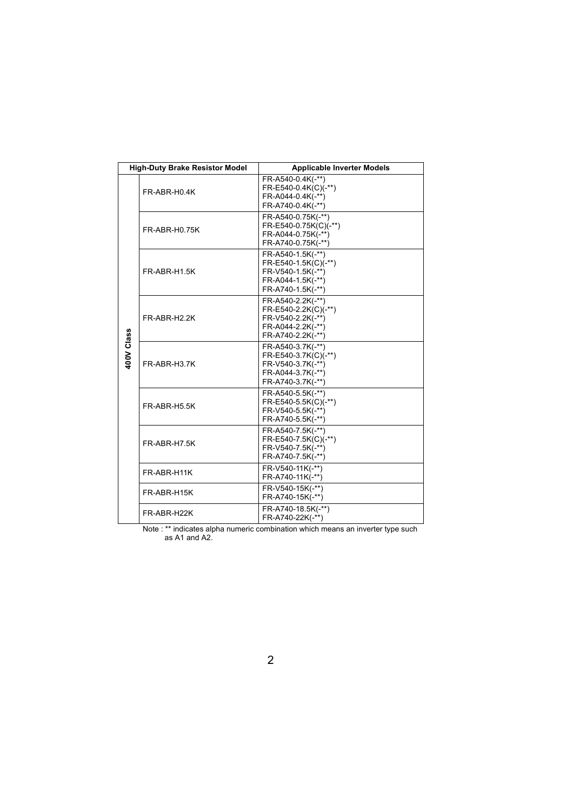|            | <b>High-Duty Brake Resistor Model</b> | <b>Applicable Inverter Models</b>                                                                        |
|------------|---------------------------------------|----------------------------------------------------------------------------------------------------------|
|            | FR-ABR-H0.4K                          | FR-A540-0.4K(-**)<br>FR-E540-0.4K(C)(-**)<br>FR-A044-0.4K(-**)<br>FR-A740-0.4K(-**)                      |
|            | FR-ABR-H0.75K                         | FR-A540-0.75K(-**)<br>FR-E540-0.75K(C)(-**)<br>FR-A044-0.75K(-**)<br>FR-A740-0.75K(-**)                  |
|            | FR-ABR-H1.5K                          | FR-A540-1.5K(-**)<br>FR-E540-1.5K(C)(-**)<br>FR-V540-1.5K(-**)<br>FR-A044-1.5K(-**)<br>FR-A740-1.5K(-**) |
|            | FR-ABR-H2.2K                          | FR-A540-2.2K(-**)<br>FR-E540-2.2K(C)(-**)<br>FR-V540-2.2K(-**)<br>FR-A044-2.2K(-**)<br>FR-A740-2.2K(-**) |
| 400V Class | FR-ABR-H3.7K                          | FR-A540-3.7K(-**)<br>FR-E540-3.7K(C)(-**)<br>FR-V540-3.7K(-**)<br>FR-A044-3.7K(-**)<br>FR-A740-3.7K(-**) |
|            | FR-ABR-H5.5K                          | FR-A540-5.5K(-**)<br>FR-E540-5.5K(C)(-**)<br>FR-V540-5.5K(-**)<br>FR-A740-5.5K(-**)                      |
|            | FR-ABR-H7.5K                          | FR-A540-7.5K(-**)<br>FR-E540-7.5K(C)(-**)<br>FR-V540-7.5K(-**)<br>FR-A740-7.5K(-**)                      |
|            | FR-ABR-H11K                           | FR-V540-11K(-**)<br>FR-A740-11K(-**)                                                                     |
|            | FR-ABR-H15K                           | FR-V540-15K(-**)<br>FR-A740-15K(-**)                                                                     |
|            | FR-ABR-H22K                           | FR-A740-18.5K(-**)<br>FR-A740-22K(-**)                                                                   |

Note : \*\* indicates alpha numeric combination which means an inverter type such as A1 and A2.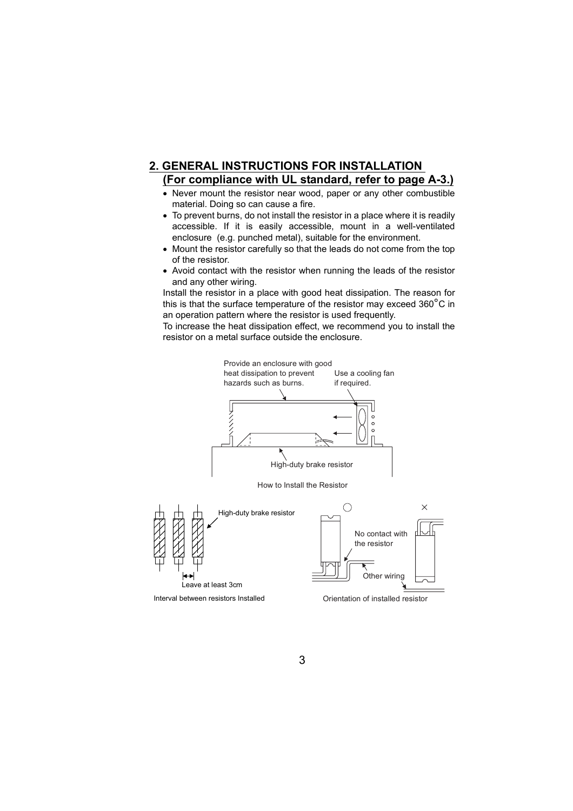### **2. GENERAL INSTRUCTIONS FOR INSTALLATION (For compliance with UL standard, refer to page [A-3.](#page-3-0))**

- Never mount the resistor near wood, paper or any other combustible material. Doing so can cause a fire.
- To prevent burns, do not install the resistor in a place where it is readily accessible. If it is easily accessible, mount in a well-ventilated enclosure (e.g. punched metal), suitable for the environment.
- Mount the resistor carefully so that the leads do not come from the top of the resistor.
- Avoid contact with the resistor when running the leads of the resistor and any other wiring.

Install the resistor in a place with good heat dissipation. The reason for this is that the surface temperature of the resistor may exceed  $360^{\circ}$ C in an operation pattern where the resistor is used frequently.

To increase the heat dissipation effect, we recommend you to install the resistor on a metal surface outside the enclosure.

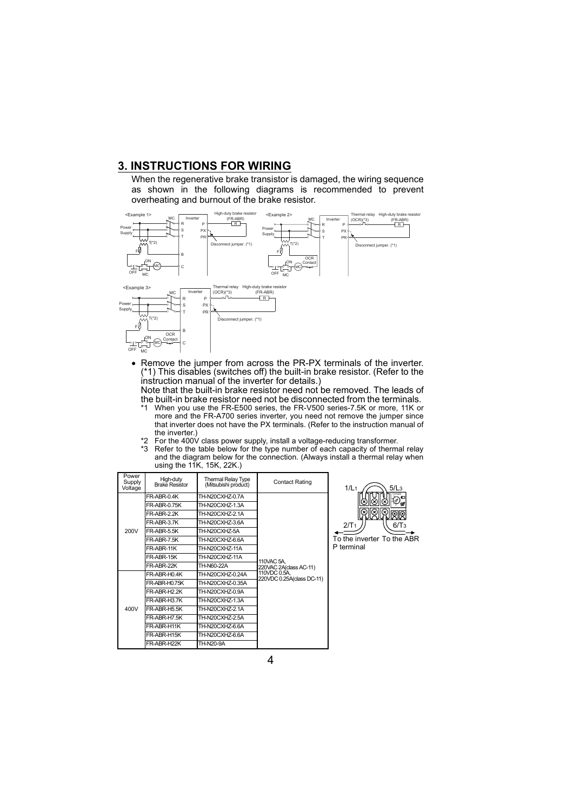### **3. INSTRUCTIONS FOR WIRING**

When the regenerative brake transistor is damaged, the wiring sequence as shown in the following diagrams is recommended to prevent overheating and burnout of the brake resistor.



• Remove the jumper from across the PR-PX terminals of the inverter. (\*1) This disables (switches off) the built-in brake resistor. (Refer to the instruction manual of the inverter for details.)

Note that the built-in brake resistor need not be removed. The leads of the built-in brake resistor need not be disconnected from the terminals.<br>\*1. When you use the ER-E500 series, the ER-V500 series-7.5K or more, 11K or

- When you use the FR-E500 series, the FR-V500 series-7.5K or more, 11K or more and the FR-A700 series inverter, you need not remove the jumper since that inverter does not have the PX terminals. (Refer to the instruction manual of the inverter.)
- $*2$  For the 400V class power supply, install a voltage-reducing transformer.
- \*3 Refer to the table below for the type number of each capacity of thermal relay and the diagram below for the connection. (Always install a thermal relay when using the 11K, 15K, 22K.)

| Power<br>Supply<br>Voltage | High-duty<br><b>Brake Resistor</b> | <b>Thermal Relay Type</b><br>(Mitsubishi product) | <b>Contact Rating</b>                     | 1/L <sub>1</sub> |
|----------------------------|------------------------------------|---------------------------------------------------|-------------------------------------------|------------------|
|                            | FR-ABR-0.4K                        | TH-N20CXHZ-0.7A                                   |                                           |                  |
|                            | <b>FR-ABR-0.75K</b>                | TH-N20CXHZ-1.3A                                   |                                           |                  |
|                            | FR-ABR-2.2K                        | TH-N20CXHZ-2.1A                                   |                                           |                  |
|                            | FR-ABR-3.7K                        | TH-N20CXHZ-3.6A                                   |                                           | 2/T <sub>1</sub> |
| 200V                       | <b>FR-ABR-5.5K</b>                 | TH-N20CXHZ-5A                                     |                                           |                  |
|                            | FR-ABR-7.5K                        | TH-N20CXHZ-6.6A                                   |                                           | To the ir        |
|                            | FR-ABR-11K                         | TH-N20CXHZ-11A                                    |                                           | P termin         |
|                            | FR-ABR-15K                         | TH-N20CXHZ-11A                                    | 110VAC 5A.                                |                  |
|                            | FR-ABR-22K                         | TH-N60-22A                                        | 220VAC 2A(dass AC-11)                     |                  |
|                            | FR-ABR-H0.4K                       | TH-N20CXHZ-0.24A                                  | 110VDC 0.5A.<br>220VDC 0.25A(class DC-11) |                  |
|                            | <b>FR-ABR-H0.75K</b>               | TH-N20CXHZ-0.35A                                  |                                           |                  |
|                            | FR-ABR-H2.2K                       | TH-N20CXHZ-0.9A                                   |                                           |                  |
|                            | FR-ABR-H3.7K                       | TH-N20CXHZ-1.3A                                   |                                           |                  |
| 400V                       | <b>FR-ABR-H5.5K</b>                | TH-N20CXHZ-2.1A                                   |                                           |                  |
|                            | FR-ABR-H7.5K                       | TH-N20CXHZ-2.5A                                   |                                           |                  |
|                            | FR-ABR-H11K                        | TH-N20CXHZ-6.6A                                   |                                           |                  |
|                            | FR-ABR-H15K                        | TH-N20CXHZ-6.6A                                   |                                           |                  |
|                            | FR-ABR-H22K                        | TH-N20-9A                                         |                                           |                  |



To the inverter To the ABR ial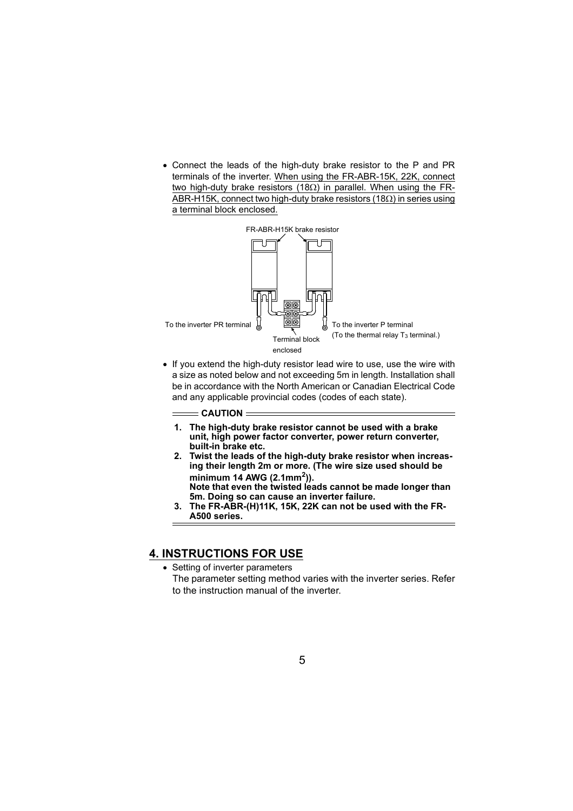• Connect the leads of the high-duty brake resistor to the P and PR terminals of the inverter. When using the FR-ABR-15K, 22K, connect two high-duty brake resistors (18Ω) in parallel. When using the FR-ABR-H15K, connect two high-duty brake resistors (18 $\Omega$ ) in series using a terminal block enclosed.



• If you extend the high-duty resistor lead wire to use, use the wire with a size as noted below and not exceeding 5m in length. Installation shall be in accordance with the North American or Canadian Electrical Code and any applicable provincial codes (codes of each state).

 $=$  CAUTION  $=$ 

- **1. The high-duty brake resistor cannot be used with a brake unit, high power factor converter, power return converter, built-in brake etc.**
- **2. Twist the leads of the high-duty brake resistor when increasing their length 2m or more. (The wire size used should be minimum 14 AWG (2.1mm2)). Note that even the twisted leads cannot be made longer than**
- **5m. Doing so can cause an inverter failure. 3. The FR-ABR-(H)11K, 15K, 22K can not be used with the FR-**
	- **A500 series.**

# **4. INSTRUCTIONS FOR USE**

• Setting of inverter parameters The parameter setting method varies with the inverter series. Refer to the instruction manual of the inverter.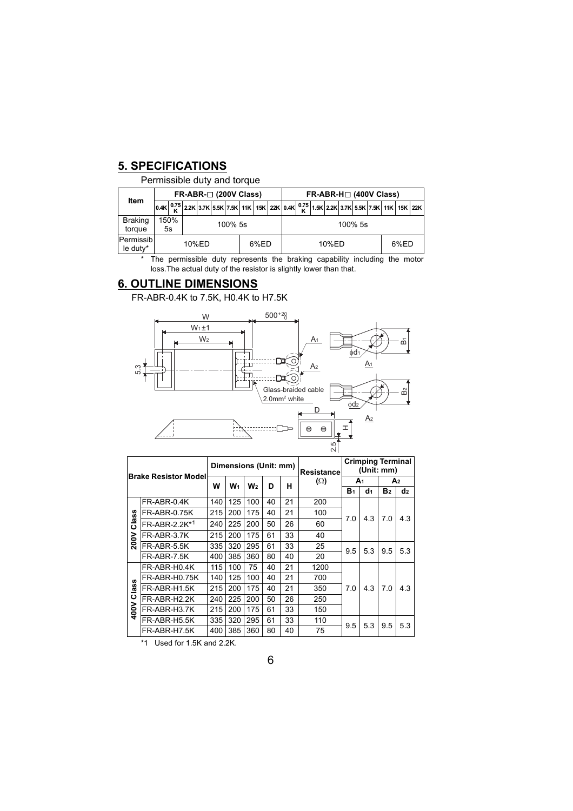# **5. SPECIFICATIONS**

Permissible duty and torque

|                          | $FR-ABR-$ (200V Class) |            |  |         |  |  |  | $FR-ABR-H \square$ (400V Class) |            |       |  |  |  |  |      |  |  |                                                                                                                               |
|--------------------------|------------------------|------------|--|---------|--|--|--|---------------------------------|------------|-------|--|--|--|--|------|--|--|-------------------------------------------------------------------------------------------------------------------------------|
| Item                     | 0.4K                   |            |  |         |  |  |  |                                 |            |       |  |  |  |  |      |  |  | $\frac{0.75}{\mathsf{K}}$ 2.2K 3.7K 5.5K 7.5K 11K 15K 22K 0.4K $\frac{0.75}{\mathsf{K}}$ 1.5K 2.2K 3.7K 5.5K 7.5K 11K 15K 22K |
| <b>Braking</b><br>torque |                        | 150%<br>5s |  | 100% 5s |  |  |  |                                 | $100\%$ 5s |       |  |  |  |  |      |  |  |                                                                                                                               |
| Permissib<br>le duty*    |                        |            |  | 10%ED   |  |  |  | 6%ED                            |            | 10%ED |  |  |  |  | 6%ED |  |  |                                                                                                                               |

\* The permissible duty represents the braking capability including the motor loss.The actual duty of the resistor is slightly lower than that.

### **6. OUTLINE DIMENSIONS**

FR-ABR-0.4K to 7.5K, H0.4K to H7.5K



|          |                              |     |     | Dimensions (Unit: mm) |    |    | Resistancel | <b>Crimping Terminal</b><br>(Unit: mm) |     |                |                |
|----------|------------------------------|-----|-----|-----------------------|----|----|-------------|----------------------------------------|-----|----------------|----------------|
|          | <b>Brake Resistor Modell</b> | w   | W1  | W <sub>2</sub>        | D  | н  | $(\Omega)$  | A1                                     |     | A2             |                |
|          |                              |     |     |                       |    |    |             | <b>B</b> <sub>1</sub>                  | d1  | B <sub>2</sub> | d <sub>2</sub> |
|          | FR-ABR-0.4K                  | 140 | 125 | 100                   | 40 | 21 | 200         |                                        |     |                |                |
|          | <b>FR-ABR-0.75K</b>          | 215 | 200 | 175                   | 40 | 21 | 100         | 7.0                                    | 4.3 | 70<br>9.5      |                |
| Class    | FR-ABR-2.2K*1                | 240 | 225 | 200                   | 50 | 26 | 60          |                                        | 5.3 |                | 4.3            |
| 200V     | FR-ABR-3.7K                  | 215 | 200 | 175                   | 61 | 33 | 40          |                                        |     |                |                |
|          | FR-ABR-5.5K                  | 335 | 320 | 295                   | 61 | 33 | 25          | 9.5                                    |     |                | 5.3            |
|          | FR-ABR-7.5K                  | 400 | 385 | 360                   | 80 | 40 | 20          |                                        |     |                |                |
|          | FR-ABR-H0.4K                 | 115 | 100 | 75                    | 40 | 21 | 1200        |                                        |     | 7.0            | 4.3            |
| <b>S</b> | <b>FR-ABR-H0.75K</b>         | 140 | 125 | 100                   | 40 | 21 | 700         |                                        |     |                |                |
| Clas     | FR-ABR-H1.5K                 | 215 | 200 | 175                   | 40 | 21 | 350         | 7.0                                    | 4.3 |                |                |
|          | FR-ABR-H2.2K                 | 240 | 225 | 200                   | 50 | 26 | 250         |                                        |     |                |                |
| 400V     | FR-ABR-H3.7K                 | 215 | 200 | 175                   | 61 | 33 | 150         |                                        |     |                |                |
|          | FR-ABR-H5.5K                 | 335 | 320 | 295                   | 61 | 33 | 110         | 9.5                                    | 5.3 | 9.5            | 5.3            |
|          | FR-ABR-H7.5K                 | 400 | 385 | 360                   | 80 | 40 | 75          |                                        |     |                |                |

\*1 Used for 1.5K and 2.2K.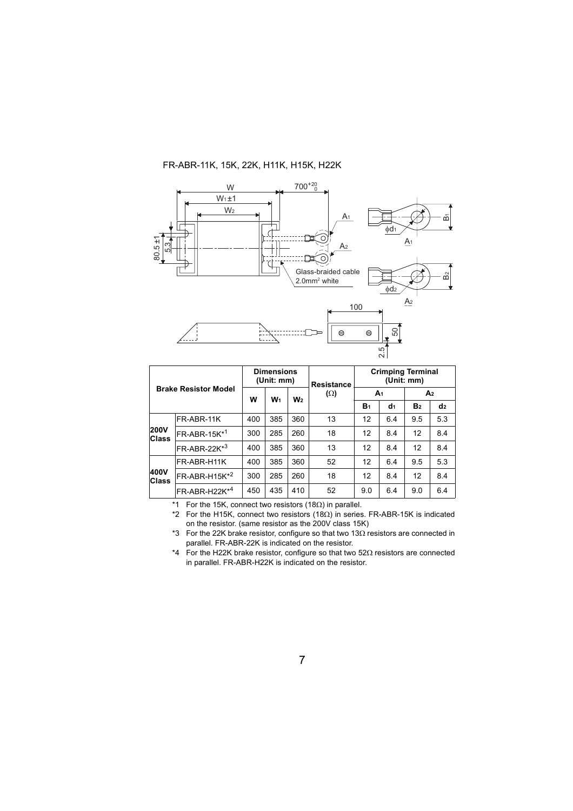#### FR-ABR-11K, 15K, 22K, H11K, H15K, H22K



|                             |                                 | <b>Dimensions</b><br>(Unit: mm) |       |                | <b>Resistance</b> | <b>Crimping Terminal</b><br>(Unit: mm) |                |                |     |  |
|-----------------------------|---------------------------------|---------------------------------|-------|----------------|-------------------|----------------------------------------|----------------|----------------|-----|--|
|                             | <b>Brake Resistor Model</b>     |                                 | $W_1$ | W <sub>2</sub> | $(\Omega)$        | A <sub>1</sub>                         |                | A <sub>2</sub> |     |  |
|                             |                                 | W                               |       |                |                   | B <sub>1</sub>                         | d <sub>1</sub> | B <sub>2</sub> | d2  |  |
|                             | FR-ABR-11K                      | 400                             | 385   | 360            | 13                | 12                                     | 6.4            | 9.5            | 5.3 |  |
| <b>200V</b><br><b>Class</b> | $FR$ -ABR-15 $K^*$ <sup>1</sup> | 300                             | 285   | 260            | 18                | 12                                     | 8.4            | 12             | 8.4 |  |
|                             | $FR-ABR-22K*3$                  | 400                             | 385   | 360            | 13                | 12                                     | 8.4            | 12             | 8.4 |  |
|                             | FR-ABR-H11K                     | 400                             | 385   | 360            | 52                | 12                                     | 6.4            | 9.5            | 5.3 |  |
| 400V<br><b>Class</b>        | $FR-ABR-H15K*2$                 | 300                             | 285   | 260            | 18                | 12                                     | 8.4            | 12             | 8.4 |  |
|                             | $FR-ABR-H22K*4$                 | 450                             | 435   | 410            | 52                | 9.0                                    | 6.4            | 9.0            | 6.4 |  |

\*1 For the 15K, connect two resistors (18 $\Omega$ ) in parallel.

\*2 For the H15K, connect two resistors (18 $\Omega$ ) in series. FR-ABR-15K is indicated on the resistor. (same resistor as the 200V class 15K)

\*3 For the 22K brake resistor, configure so that two 13Ω resistors are connected in parallel. FR-ABR-22K is indicated on the resistor.

\*4 For the H22K brake resistor, configure so that two 52 $\Omega$  resistors are connected in parallel. FR-ABR-H22K is indicated on the resistor.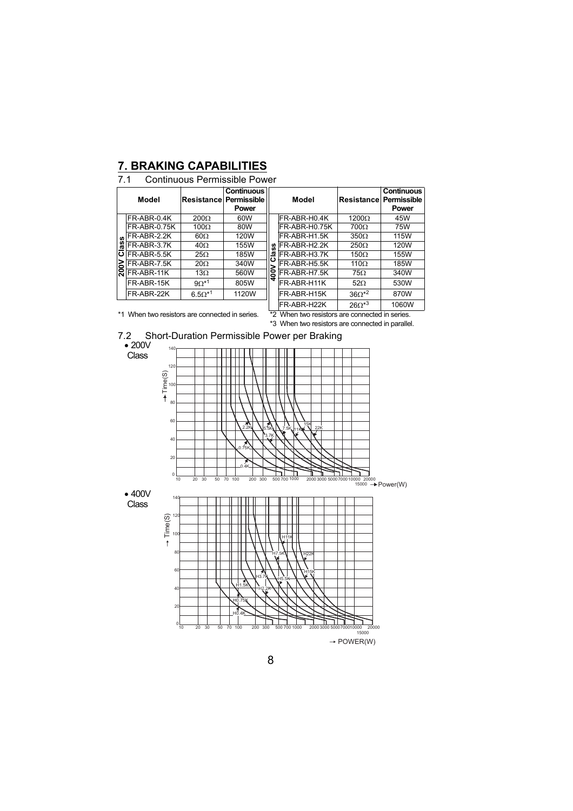## **7. BRAKING CAPABILITIES**

### 7.1 Continuous Permissible Power

|    | Model        | Resistance       | <b>Continuous</b><br>Permissible<br><b>Power</b> |   | Model                   | Resistance                         | Continuo<br>Permissi<br>Power |
|----|--------------|------------------|--------------------------------------------------|---|-------------------------|------------------------------------|-------------------------------|
|    | FR-ABR-0.4K  | $200\Omega$      | 60W                                              |   | IFR-ABR-H0.4K           | $1200\Omega$                       | 45W                           |
|    | FR-ABR-0.75K | 100 $\Omega$     | 80W                                              |   | IFR-ABR-H0.75K          | $700\Omega$                        | 75W                           |
| ഗ  | FR-ABR-2.2K  | $60\Omega$       | 120W                                             |   | IFR-ABR-H1.5K           | $350\Omega$                        | 115W                          |
| ä  | FR-ABR-3.7K  | $40\Omega$       | 155W                                             |   | FR-ABR-H2.2K            | $250\Omega$                        | 120W                          |
| ပ  | FR-ABR-5.5K  | $25\Omega$       | 185W                                             |   | FR-ABR-H3.7K            | $150\Omega$                        | 155W                          |
| ≳  | FR-ABR-7.5K  | $20\Omega$       | 340W                                             |   | FR-ABR-H5.5K            | 110 $\Omega$                       | 185W                          |
| ΘZ | FR-ABR-11K   | $13\Omega$       | 560W                                             | 8 | FR-ABR-H7.5K            | $75\Omega$                         | 340W                          |
|    | FR-ABR-15K   | $9\Omega^{*1}$   | 805W                                             | ÷ | FR-ABR-H11K             | $52\Omega$                         | 530W                          |
|    | FR-ABR-22K   | $6.5\Omega^{*1}$ | 1120W                                            |   | IFR-ABR-H15K            | $36\Omega*^2$                      | 870W                          |
|    |              |                  |                                                  |   | $ \sim$ $ \sim$ $ \sim$ | $\sim$ $\sim$ $\sim$ $\sim$ $\sim$ | 100011                        |

|                     | <b>Continuous</b><br>ancel Permissible<br>Power |                           | Model         | <b>Resistance Permissible</b> | <b>Continuous</b><br><b>Power</b> |
|---------------------|-------------------------------------------------|---------------------------|---------------|-------------------------------|-----------------------------------|
| $\overline{\Omega}$ | 60W                                             |                           | FR-ABR-H0.4K  | $1200\Omega$                  | 45W                               |
| $\overline{\Omega}$ | 80W                                             |                           | FR-ABR-H0.75K | $700\Omega$                   | 75W                               |
| ).                  | 120W                                            |                           | FR-ABR-H1.5K  | $350\Omega$                   | 115W                              |
|                     | 155W                                            | ပ္ၿ                       | FR-ABR-H2.2K  | $250\Omega$                   | 120W                              |
|                     | 185W                                            | ₫<br>$\ddot{\phantom{1}}$ | FR-ABR-H3.7K  | $150\Omega$                   | 155W                              |
| $\lambda$           | 340W                                            |                           | FR-ABR-H5.5K  | $110\Omega$                   | 185W                              |
|                     | 560W                                            | 400V                      | FR-ABR-H7.5K  | $75\Omega$                    | 340W                              |
| $\overline{1}$      | 805W                                            |                           | FR-ABR-H11K   | $52\Omega$                    | 530W                              |
| $*1$                | 1120W                                           |                           | FR-ABR-H15K   | $36\Omega*^2$                 | 870W                              |
|                     |                                                 |                           | FR-ABR-H22K   | $26\Omega^{*3}$               | 1060W                             |

\*1 When two resistors are connected in series. \*2 When two resistors are connected in series.

\*3 When two resistors are connected in parallel.